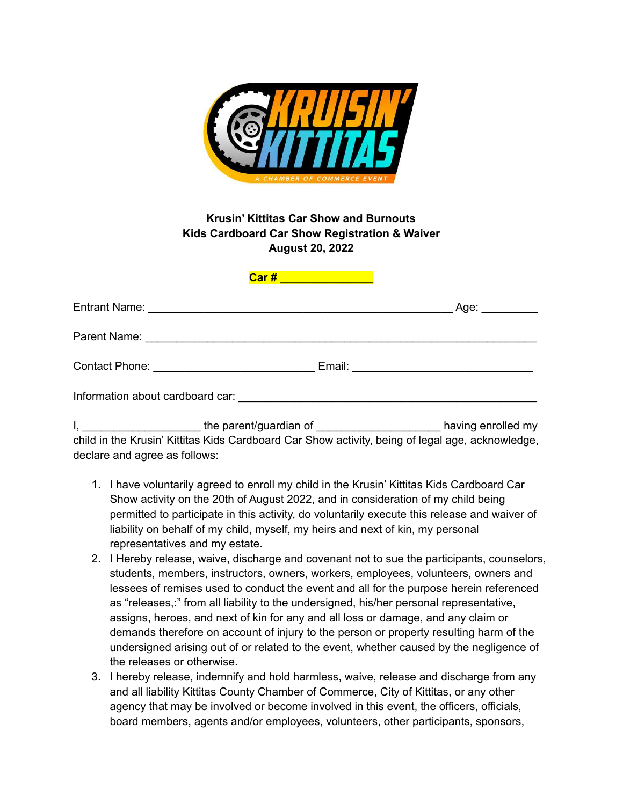

## **Krusin' Kittitas Car Show and Burnouts Kids Cardboard Car Show Registration & Waiver August 20, 2022**

| <u>Car # __________________</u> |                    |
|---------------------------------|--------------------|
|                                 |                    |
|                                 |                    |
|                                 |                    |
|                                 |                    |
| the narent/quardian of          | having enrolled my |

I, \_\_\_\_\_\_\_\_\_\_\_\_\_\_\_\_\_\_\_ the parent/guardian of \_\_\_\_\_\_\_\_\_\_\_\_\_\_\_\_\_\_\_\_ having enrolled my child in the Krusin' Kittitas Kids Cardboard Car Show activity, being of legal age, acknowledge, declare and agree as follows:

- 1. I have voluntarily agreed to enroll my child in the Krusin' Kittitas Kids Cardboard Car Show activity on the 20th of August 2022, and in consideration of my child being permitted to participate in this activity, do voluntarily execute this release and waiver of liability on behalf of my child, myself, my heirs and next of kin, my personal representatives and my estate.
- 2. I Hereby release, waive, discharge and covenant not to sue the participants, counselors, students, members, instructors, owners, workers, employees, volunteers, owners and lessees of remises used to conduct the event and all for the purpose herein referenced as "releases,:" from all liability to the undersigned, his/her personal representative, assigns, heroes, and next of kin for any and all loss or damage, and any claim or demands therefore on account of injury to the person or property resulting harm of the undersigned arising out of or related to the event, whether caused by the negligence of the releases or otherwise.
- 3. I hereby release, indemnify and hold harmless, waive, release and discharge from any and all liability Kittitas County Chamber of Commerce, City of Kittitas, or any other agency that may be involved or become involved in this event, the officers, officials, board members, agents and/or employees, volunteers, other participants, sponsors,